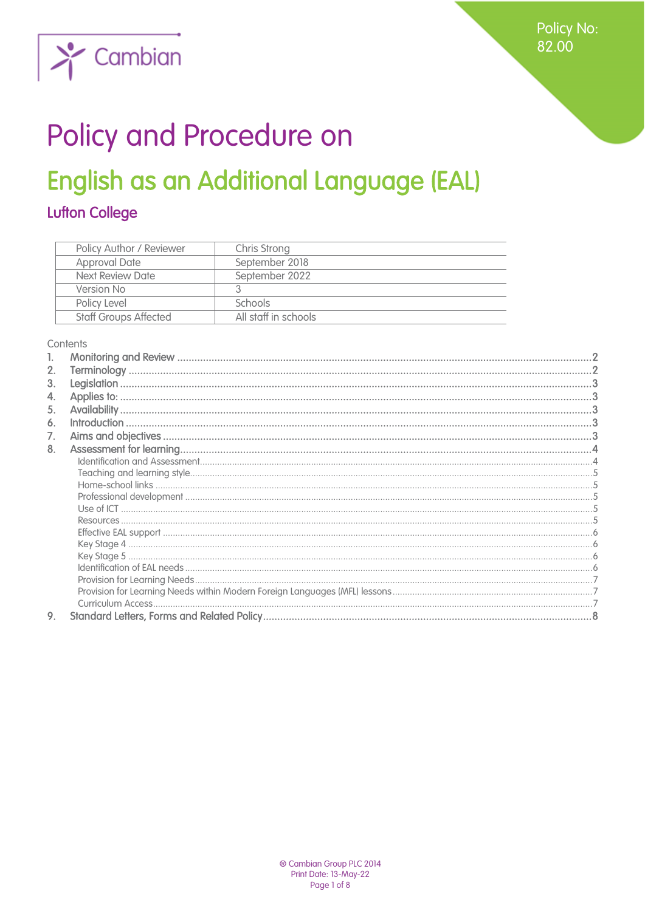

# Policy and Procedure on

## English as an Additional Language (EAL)

## **Lufton College**

| Policy Author / Reviewer     | Chris Strong         |
|------------------------------|----------------------|
| <b>Approval Date</b>         | September 2018       |
| Next Review Date             | September 2022       |
| Version No                   |                      |
| Policy Level                 | <b>Schools</b>       |
| <b>Staff Groups Affected</b> | All staff in schools |

#### Contents

<span id="page-0-0"></span>

| 2. |  |
|----|--|
| 3. |  |
| 4. |  |
| 5. |  |
| 6. |  |
| 7. |  |
| 8. |  |
|    |  |
|    |  |
|    |  |
|    |  |
|    |  |
|    |  |
|    |  |
|    |  |
|    |  |
|    |  |
|    |  |
|    |  |
|    |  |
| 9. |  |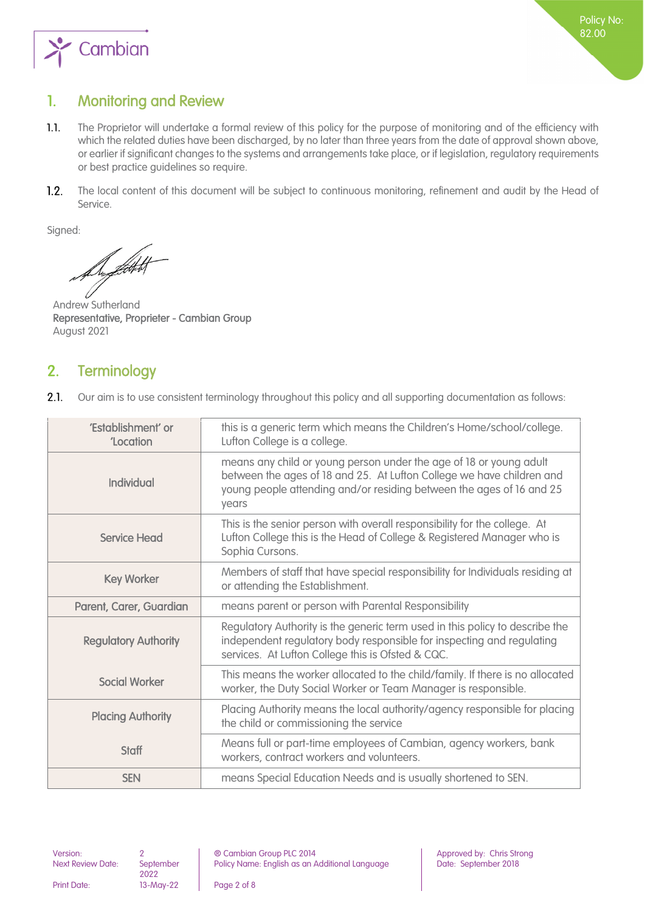

## 1. Monitoring and Review

- $1.1.$ The Proprietor will undertake a formal review of this policy for the purpose of monitoring and of the efficiency with which the related duties have been discharged, by no later than three years from the date of approval shown above, or earlier if significant changes to the systems and arrangements take place, or if legislation, regulatory requirements or best practice guidelines so require.
- $1.2.$ The local content of this document will be subject to continuous monitoring, refinement and audit by the Head of Service.

Signed:

ffekt f

Andrew Sutherland Representative, Proprieter - Cambian Group August 2021

## <span id="page-1-0"></span>2. Terminology

 $2.1.$ Our aim is to use consistent terminology throughout this policy and all supporting documentation as follows:

| 'Establishment' or<br>'Location | this is a generic term which means the Children's Home/school/college.<br>Lufton College is a college.                                                                                                                       |  |
|---------------------------------|------------------------------------------------------------------------------------------------------------------------------------------------------------------------------------------------------------------------------|--|
| Individual                      | means any child or young person under the age of 18 or young adult<br>between the ages of 18 and 25. At Lufton College we have children and<br>young people attending and/or residing between the ages of 16 and 25<br>years |  |
| <b>Service Head</b>             | This is the senior person with overall responsibility for the college. At<br>Lufton College this is the Head of College & Registered Manager who is<br>Sophia Cursons.                                                       |  |
| <b>Key Worker</b>               | Members of staff that have special responsibility for Individuals residing at<br>or attending the Establishment.                                                                                                             |  |
| Parent, Carer, Guardian         | means parent or person with Parental Responsibility                                                                                                                                                                          |  |
| <b>Regulatory Authority</b>     | Regulatory Authority is the generic term used in this policy to describe the<br>independent regulatory body responsible for inspecting and regulating<br>services. At Lufton College this is Ofsted & CQC.                   |  |
| <b>Social Worker</b>            | This means the worker allocated to the child/family. If there is no allocated<br>worker, the Duty Social Worker or Team Manager is responsible.                                                                              |  |
| <b>Placing Authority</b>        | Placing Authority means the local authority/agency responsible for placing<br>the child or commissioning the service                                                                                                         |  |
| <b>Staff</b>                    | Means full or part-time employees of Cambian, agency workers, bank<br>workers, contract workers and volunteers.                                                                                                              |  |
| <b>SEN</b>                      | means Special Education Needs and is usually shortened to SEN.                                                                                                                                                               |  |

<span id="page-1-1"></span>Next Review Date: September 2022<br>13-May-22

Print Date: 13-May-22 Page 2 of 8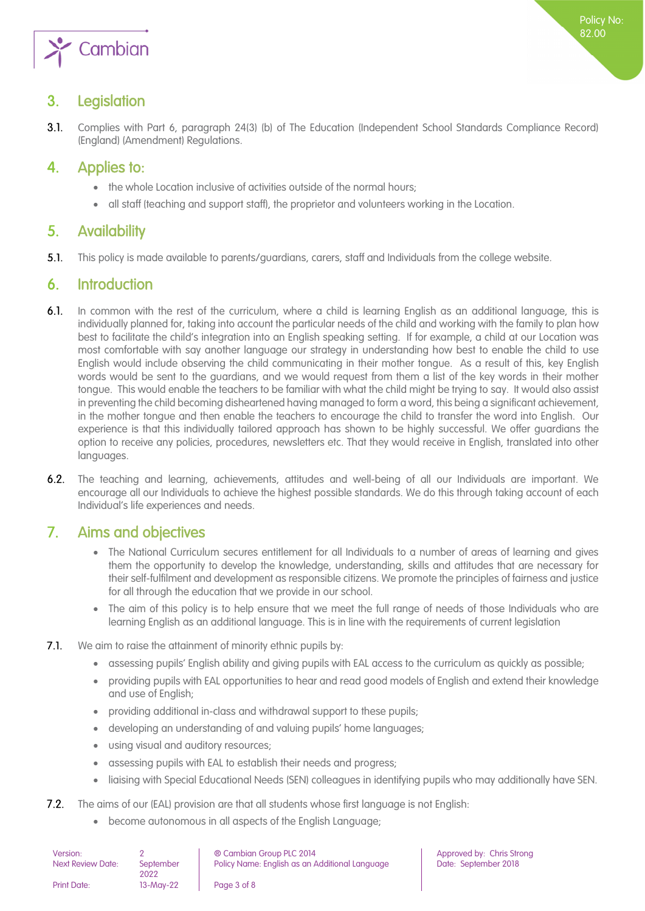

## 3. Legislation

 $3.1$ Complies with Part 6, paragraph 24(3) (b) of The Education (Independent School Standards Compliance Record) (England) (Amendment) Regulations.

## <span id="page-2-0"></span>4. Applies to:

- the whole Location inclusive of activities outside of the normal hours;
- <span id="page-2-1"></span>all staff (teaching and support staff), the proprietor and volunteers working in the Location.

## 5. Availability

 $5.1.$ This policy is made available to parents/guardians, carers, staff and Individuals from the college website.

## <span id="page-2-2"></span>6. Introduction

- $6.1.$ In common with the rest of the curriculum, where a child is learning English as an additional language, this is individually planned for, taking into account the particular needs of the child and working with the family to plan how best to facilitate the child's integration into an English speaking setting. If for example, a child at our Location was most comfortable with say another language our strategy in understanding how best to enable the child to use English would include observing the child communicating in their mother tongue. As a result of this, key English words would be sent to the guardians, and we would request from them a list of the key words in their mother tongue. This would enable the teachers to be familiar with what the child might be trying to say. It would also assist in preventing the child becoming disheartened having managed to form a word, this being a significant achievement, in the mother tongue and then enable the teachers to encourage the child to transfer the word into English. Our experience is that this individually tailored approach has shown to be highly successful. We offer guardians the option to receive any policies, procedures, newsletters etc. That they would receive in English, translated into other languages.
- $6.2.$ The teaching and learning, achievements, attitudes and well-being of all our Individuals are important. We encourage all our Individuals to achieve the highest possible standards. We do this through taking account of each Individual's life experiences and needs.

## <span id="page-2-3"></span>7. Aims and objectives

- The National Curriculum secures entitlement for all Individuals to a number of areas of learning and gives them the opportunity to develop the knowledge, understanding, skills and attitudes that are necessary for their self-fulfilment and development as responsible citizens. We promote the principles of fairness and justice for all through the education that we provide in our school.
- The aim of this policy is to help ensure that we meet the full range of needs of those Individuals who are learning English as an additional language. This is in line with the requirements of current legislation
- $7.1.$ We aim to raise the attainment of minority ethnic pupils by:
	- assessing pupils' English ability and giving pupils with EAL access to the curriculum as quickly as possible;
	- providing pupils with EAL opportunities to hear and read good models of English and extend their knowledge and use of English;
	- providing additional in-class and withdrawal support to these pupils;
	- developing an understanding of and valuing pupils' home languages;
	- using visual and auditory resources;
	- assessing pupils with EAL to establish their needs and progress;
	- liaising with Special Educational Needs (SEN) colleagues in identifying pupils who may additionally have SEN.
- $7.2.$ The aims of our (EAL) provision are that all students whose first language is not English:
	- become autonomous in all aspects of the English Language;

| Version:                 |           | ® Cambian Group PLC 2014                       |
|--------------------------|-----------|------------------------------------------------|
| <b>Next Review Date:</b> | September | Policy Name: English as an Additional Language |
|                          | 2022      |                                                |
| <b>Print Date:</b>       | 13-May-22 | Page 3 of 8                                    |

Approved by: Chris Strong Date: September 2018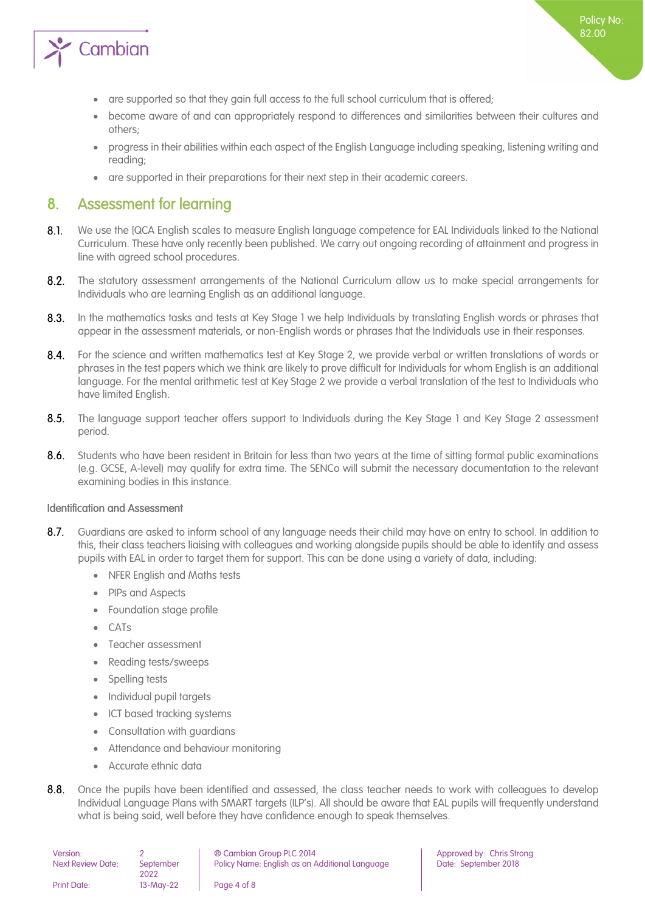

- are supported so that they gain full access to the full school curriculum that is offered;
- become aware of and can appropriately respond to differences and similarities between their cultures and others;
- progress in their abilities within each aspect of the English Language including speaking, listening writing and reading;
- <span id="page-3-0"></span>are supported in their preparations for their next step in their academic careers.

### 8. Assessment for learning

- $8.1.$ We use the [QCA English scales to measure English language competence for EAL Individuals linked to the National Curriculum. These have only recently been published. We carry out ongoing recording of attainment and progress in line with agreed school procedures.
- $8.2.$ The statutory assessment arrangements of the National Curriculum allow us to make special arrangements for Individuals who are learning English as an additional language.
- $8.3.$ In the mathematics tasks and tests at Key Stage 1 we help Individuals by translating English words or phrases that appear in the assessment materials, or non-English words or phrases that the Individuals use in their responses.
- For the science and written mathematics test at Key Stage 2, we provide verbal or written translations of words or  $8.4.$ phrases in the test papers which we think are likely to prove difficult for Individuals for whom English is an additional language. For the mental arithmetic test at Key Stage 2 we provide a verbal translation of the test to Individuals who have limited English.
- $8.5.$ The language support teacher offers support to Individuals during the Key Stage 1 and Key Stage 2 assessment period.
- $8.6.$ Students who have been resident in Britain for less than two years at the time of sitting formal public examinations (e.g. GCSE, A-level) may qualify for extra time. The SENCo will submit the necessary documentation to the relevant examining bodies in this instance.

#### <span id="page-3-1"></span>Identification and Assessment

- $8.7.$ Guardians are asked to inform school of any language needs their child may have on entry to school. In addition to this, their class teachers liaising with colleagues and working alongside pupils should be able to identify and assess pupils with EAL in order to target them for support. This can be done using a variety of data, including:
	- NFER English and Maths tests
	- PIPs and Aspects
	- Foundation stage profile
	- CATs
	- Teacher assessment
	- Reading tests/sweeps
	- Spelling tests
	- Individual pupil targets
	- ICT based tracking systems
	- Consultation with guardians
	- Attendance and behaviour monitoring
	- Accurate ethnic data
- $8.8.$ Once the pupils have been identified and assessed, the class teacher needs to work with colleagues to develop Individual Language Plans with SMART targets (ILP's). All should be aware that EAL pupils will frequently understand what is being said, well before they have confidence enough to speak themselves.

| Version:                 |                   | ® Cambian Group PLC 2014                       |
|--------------------------|-------------------|------------------------------------------------|
| <b>Next Review Date:</b> | September<br>2022 | Policy Name: English as an Additional Language |
| <b>Print Date:</b>       | 13-May-22         | Page 4 of 8                                    |

Approved by: Chris Strong Date: September 2018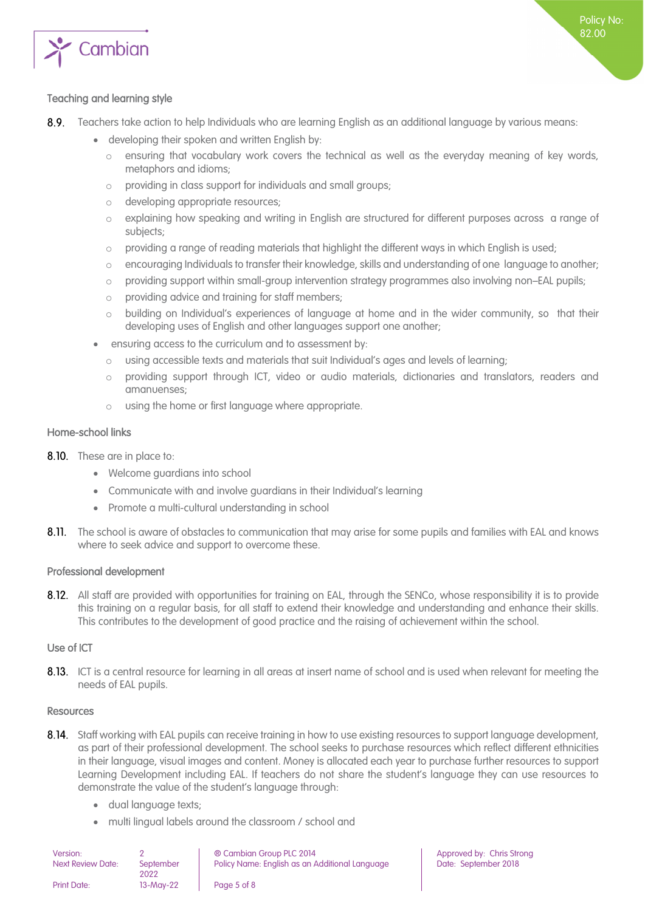

#### <span id="page-4-0"></span>Teaching and learning style

- $8.9.$ Teachers take action to help Individuals who are learning English as an additional language by various means:
	- developing their spoken and written English by:
		- o ensuring that vocabulary work covers the technical as well as the everyday meaning of key words, metaphors and idioms;
		- o providing in class support for individuals and small groups;
		- o developing appropriate resources;
		- o explaining how speaking and writing in English are structured for different purposes across a range of subjects;
		- $\circ$  providing a range of reading materials that highlight the different ways in which English is used;
		- o encouraging Individuals to transfer their knowledge, skills and understanding of one language to another;
		- o providing support within small-group intervention strategy programmes also involving non–EAL pupils;
		- o providing advice and training for staff members;
		- o building on Individual's experiences of language at home and in the wider community, so that their developing uses of English and other languages support one another;
	- ensuring access to the curriculum and to assessment by:
		- o using accessible texts and materials that suit Individual's ages and levels of learning;
		- o providing support through ICT, video or audio materials, dictionaries and translators, readers and amanuenses;
		- o using the home or first language where appropriate.

#### <span id="page-4-1"></span>Home-school links

- 8.10. These are in place to:
	- Welcome guardians into school
	- Communicate with and involve guardians in their Individual's learning
	- Promote a multi-cultural understanding in school
- 8.11. The school is aware of obstacles to communication that may arise for some pupils and families with EAL and knows where to seek advice and support to overcome these.

#### <span id="page-4-2"></span>Professional development

8.12. All staff are provided with opportunities for training on EAL, through the SENCo, whose responsibility it is to provide this training on a regular basis, for all staff to extend their knowledge and understanding and enhance their skills. This contributes to the development of good practice and the raising of achievement within the school.

#### <span id="page-4-3"></span>Use of ICT

8.13. ICT is a central resource for learning in all areas at insert name of school and is used when relevant for meeting the needs of EAL pupils.

#### <span id="page-4-4"></span>Resources

- 8.14. Staff working with EAL pupils can receive training in how to use existing resources to support language development, as part of their professional development. The school seeks to purchase resources which reflect different ethnicities in their language, visual images and content. Money is allocated each year to purchase further resources to support Learning Development including EAL. If teachers do not share the student's language they can use resources to demonstrate the value of the student's language through:
	- dual language texts;
	- multi lingual labels around the classroom / school and

| Version:           |                   | ® Cambian Group PLC 2014                       |
|--------------------|-------------------|------------------------------------------------|
| Next Review Date:  | September<br>2022 | Policy Name: English as an Additional Language |
| <b>Print Date:</b> | 13-May-22         | Page 5 of 8                                    |

Approved by: Chris Strong Date: September 2018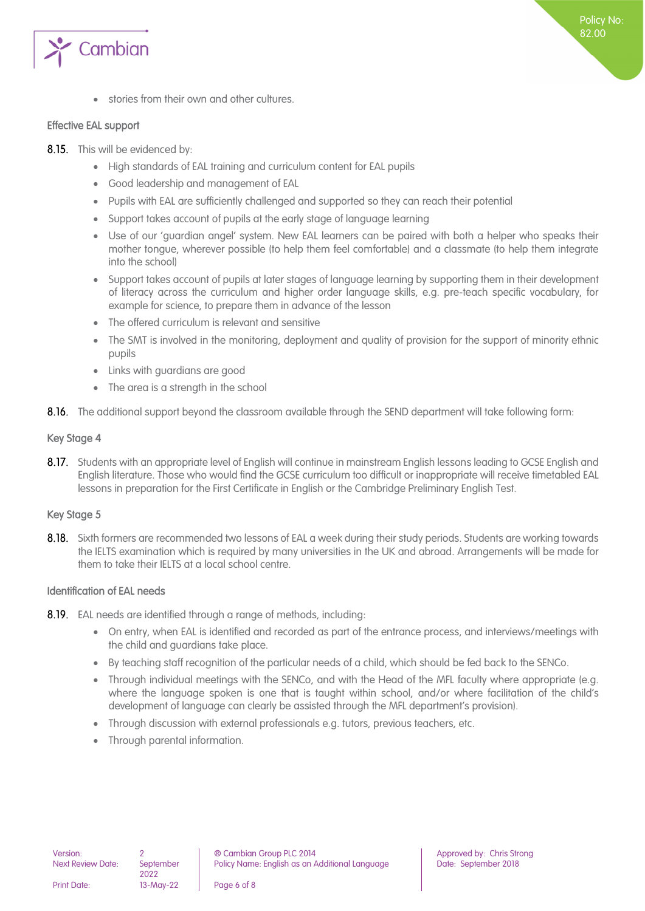

stories from their own and other cultures.

#### <span id="page-5-0"></span>Effective EAL support

- 8.15. This will be evidenced by:
	- High standards of EAL training and curriculum content for EAL pupils
	- Good leadership and management of EAL
	- Pupils with EAL are sufficiently challenged and supported so they can reach their potential
	- Support takes account of pupils at the early stage of language learning
	- Use of our 'guardian angel' system. New EAL learners can be paired with both a helper who speaks their mother tongue, wherever possible (to help them feel comfortable) and a classmate (to help them integrate into the school)
	- Support takes account of pupils at later stages of language learning by supporting them in their development of literacy across the curriculum and higher order language skills, e.g. pre-teach specific vocabulary, for example for science, to prepare them in advance of the lesson
	- The offered curriculum is relevant and sensitive
	- The SMT is involved in the monitoring, deployment and quality of provision for the support of minority ethnic pupils
	- Links with guardians are good
	- The area is a strength in the school
- 8.16. The additional support beyond the classroom available through the SEND department will take following form:

#### <span id="page-5-1"></span>Key Stage 4

8.17. Students with an appropriate level of English will continue in mainstream English lessons leading to GCSE English and English literature. Those who would find the GCSE curriculum too difficult or inappropriate will receive timetabled EAL lessons in preparation for the First Certificate in English or the Cambridge Preliminary English Test.

#### <span id="page-5-2"></span>Key Stage 5

8.18. Sixth formers are recommended two lessons of EAL a week during their study periods. Students are working towards the IELTS examination which is required by many universities in the UK and abroad. Arrangements will be made for them to take their IELTS at a local school centre.

#### <span id="page-5-3"></span>Identification of EAL needs

- 8.19. EAL needs are identified through a range of methods, including:
	- On entry, when EAL is identified and recorded as part of the entrance process, and interviews/meetings with the child and guardians take place.
	- By teaching staff recognition of the particular needs of a child, which should be fed back to the SENCo.
	- Through individual meetings with the SENCo, and with the Head of the MFL faculty where appropriate (e.g. where the language spoken is one that is taught within school, and/or where facilitation of the child's development of language can clearly be assisted through the MFL department's provision).
	- Through discussion with external professionals e.g. tutors, previous teachers, etc.
	- Through parental information.

2022

Print Date: 13-May-22 Page 6 of 8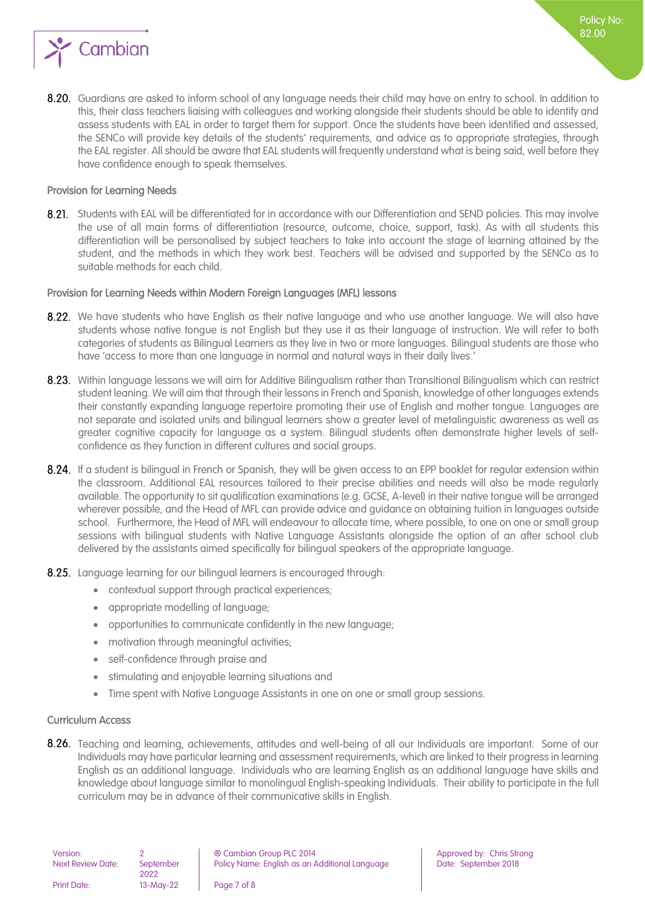

#### <span id="page-6-0"></span>Provision for Learning Needs

8.21. Students with EAL will be differentiated for in accordance with our Differentiation and SEND policies. This may involve the use of all main forms of differentiation (resource, outcome, choice, support, task). As with all students this differentiation will be personalised by subject teachers to take into account the stage of learning attained by the student, and the methods in which they work best. Teachers will be advised and supported by the SENCo as to suitable methods for each child.

#### <span id="page-6-1"></span>Provision for Learning Needs within Modern Foreign Languages (MFL) lessons

- 8.22. We have students who have English as their native language and who use another language. We will also have students whose native tongue is not English but they use it as their language of instruction. We will refer to both categories of students as Bilingual Learners as they live in two or more languages. Bilingual students are those who have 'access to more than one language in normal and natural ways in their daily lives.'
- 8.23. Within language lessons we will aim for Additive Bilingualism rather than Transitional Bilingualism which can restrict student leaning. We will aim that through their lessons in French and Spanish, knowledge of other languages extends their constantly expanding language repertoire promoting their use of English and mother tongue. Languages are not separate and isolated units and bilingual learners show a greater level of metalinguistic awareness as well as greater cognitive capacity for language as a system. Bilingual students often demonstrate higher levels of selfconfidence as they function in different cultures and social groups.
- 8.24. If a student is bilingual in French or Spanish, they will be given access to an EPP booklet for regular extension within the classroom. Additional EAL resources tailored to their precise abilities and needs will also be made regularly available. The opportunity to sit qualification examinations (e.g. GCSE, A-level) in their native tongue will be arranged wherever possible, and the Head of MFL can provide advice and guidance on obtaining tuition in languages outside school. Furthermore, the Head of MFL will endeavour to allocate time, where possible, to one on one or small group sessions with bilingual students with Native Language Assistants alongside the option of an after school club delivered by the assistants aimed specifically for bilingual speakers of the appropriate language.
- 8.25. Language learning for our bilingual learners is encouraged through:
	- contextual support through practical experiences;
	- appropriate modelling of language;
	- opportunities to communicate confidently in the new language;
	- motivation through meaningful activities;
	- self-confidence through praise and
	- stimulating and enjoyable learning situations and
	- Time spent with Native Language Assistants in one on one or small group sessions.

#### <span id="page-6-2"></span>Curriculum Access

8.26. Teaching and learning, achievements, attitudes and well-being of all our Individuals are important. Some of our Individuals may have particular learning and assessment requirements, which are linked to their progress in learning English as an additional language. Individuals who are learning English as an additional language have skills and knowledge about language similar to monolingual English-speaking Individuals. Their ability to participate in the full curriculum may be in advance of their communicative skills in English.

| Version:                 |                   | ® Cambian Group PLC 2014                    |
|--------------------------|-------------------|---------------------------------------------|
| <b>Next Review Date:</b> | September<br>2022 | Policy Name: English as an Additional Langu |
| <b>Print Date:</b>       | $13-Mav-22$       | Page 7 of 8                                 |

Approved by: Chris Strong Policy Rame: English and Police: September 2018

Policy No: